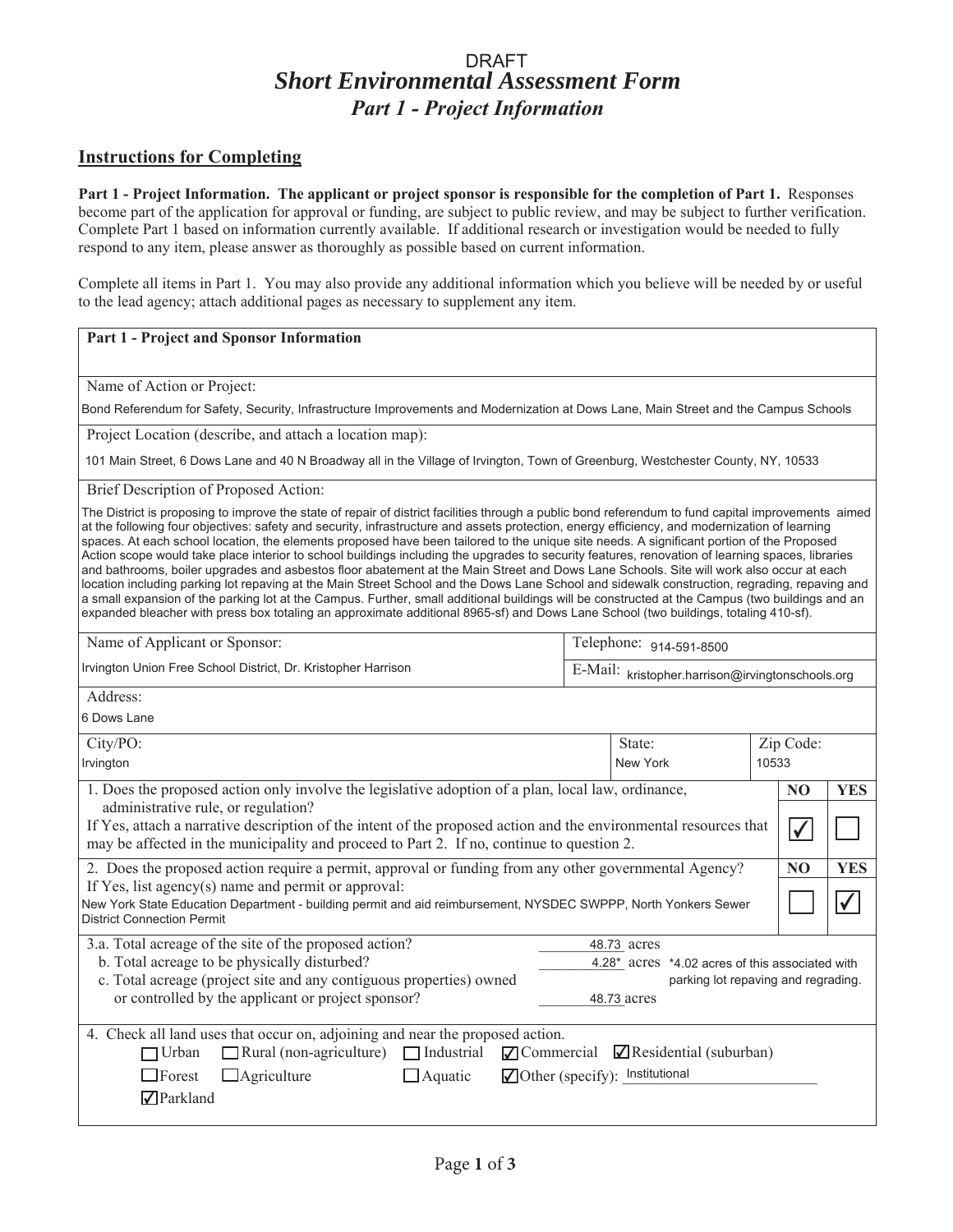### *Short Environmental Assessment Form Part 1 - Project Information* DRAFT

### **Instructions for Completing**

**Part 1 - Project Information. The applicant or project sponsor is responsible for the completion of Part 1.** Responses become part of the application for approval or funding, are subject to public review, and may be subject to further verification. Complete Part 1 based on information currently available. If additional research or investigation would be needed to fully respond to any item, please answer as thoroughly as possible based on current information.

Complete all items in Part 1. You may also provide any additional information which you believe will be needed by or useful to the lead agency; attach additional pages as necessary to supplement any item.

#### **Part 1 - Project and Sponsor Information**

Name of Action or Project:

Bond Referendum for Safety, Security, Infrastructure Improvements and Modernization at Dows Lane, Main Street and the Campus Schools

Project Location (describe, and attach a location map):

101 Main Street, 6 Dows Lane and 40 N Broadway all in the Village of Irvington, Town of Greenburg, Westchester County, NY, 10533

Brief Description of Proposed Action:

The District is proposing to improve the state of repair of district facilities through a public bond referendum to fund capital improvements aimed at the following four objectives: safety and security, infrastructure and assets protection, energy efficiency, and modernization of learning spaces. At each school location, the elements proposed have been tailored to the unique site needs. A significant portion of the Proposed Action scope would take place interior to school buildings including the upgrades to security features, renovation of learning spaces, libraries and bathrooms, boiler upgrades and asbestos floor abatement at the Main Street and Dows Lane Schools. Site will work also occur at each location including parking lot repaving at the Main Street School and the Dows Lane School and sidewalk construction, regrading, repaving and a small expansion of the parking lot at the Campus. Further, small additional buildings will be constructed at the Campus (two buildings and an expanded bleacher with press box totaling an approximate additional 8965-sf) and Dows Lane School (two buildings, totaling 410-sf).

| Name of Applicant or Sponsor:                                 | Telephone: 914-591-8500                                           |  |
|---------------------------------------------------------------|-------------------------------------------------------------------|--|
| Irvington Union Free School District, Dr. Kristopher Harrison | $\mid$ E-Mail: $_{\rm kristopher.harrison@irvington schools. or}$ |  |

Address:

6 Dows Lane

| City/PO:                                                                                                                                                                                                      | State: | Zip Code: |            |
|---------------------------------------------------------------------------------------------------------------------------------------------------------------------------------------------------------------|--------|-----------|------------|
| New York<br>Irvington                                                                                                                                                                                         |        | 10533     |            |
| 1. Does the proposed action only involve the legislative adoption of a plan, local law, ordinance,<br>administrative rule, or regulation?                                                                     |        | NO        | <b>YES</b> |
| If Yes, attach a narrative description of the intent of the proposed action and the environmental resources that<br>may be affected in the municipality and proceed to Part 2. If no, continue to question 2. |        |           |            |
| 2. Does the proposed action require a permit, approval or funding from any other governmental Agency?<br>NO                                                                                                   |        |           | <b>YES</b> |
| If Yes, list agency(s) name and permit or approval:<br>New York State Education Department - building permit and aid reimbursement, NYSDEC SWPPP, North Yonkers Sewer<br><b>District Connection Permit</b>    |        |           |            |
| 3.a. Total acreage of the site of the proposed action?<br>48.73 acres                                                                                                                                         |        |           |            |
| b. Total acreage to be physically disturbed?<br>4.28* acres *4.02 acres of this associated with                                                                                                               |        |           |            |
| c. Total acreage (project site and any contiguous properties) owned<br>parking lot repaving and regrading.                                                                                                    |        |           |            |
| or controlled by the applicant or project sponsor?<br>48.73 acres                                                                                                                                             |        |           |            |
| 4. Check all land uses that occur on, adjoining and near the proposed action.                                                                                                                                 |        |           |            |
| $\Box$ Rural (non-agriculture) $\Box$ Industrial $\Box$ Commercial $\Box$ Residential (suburban)<br>□Urban                                                                                                    |        |           |            |
| $\Box$ Other (specify): Institutional<br>$\Box$ Forest<br>$\Box$ Agriculture<br>$\Box$ Aquatic                                                                                                                |        |           |            |
| √Parkland                                                                                                                                                                                                     |        |           |            |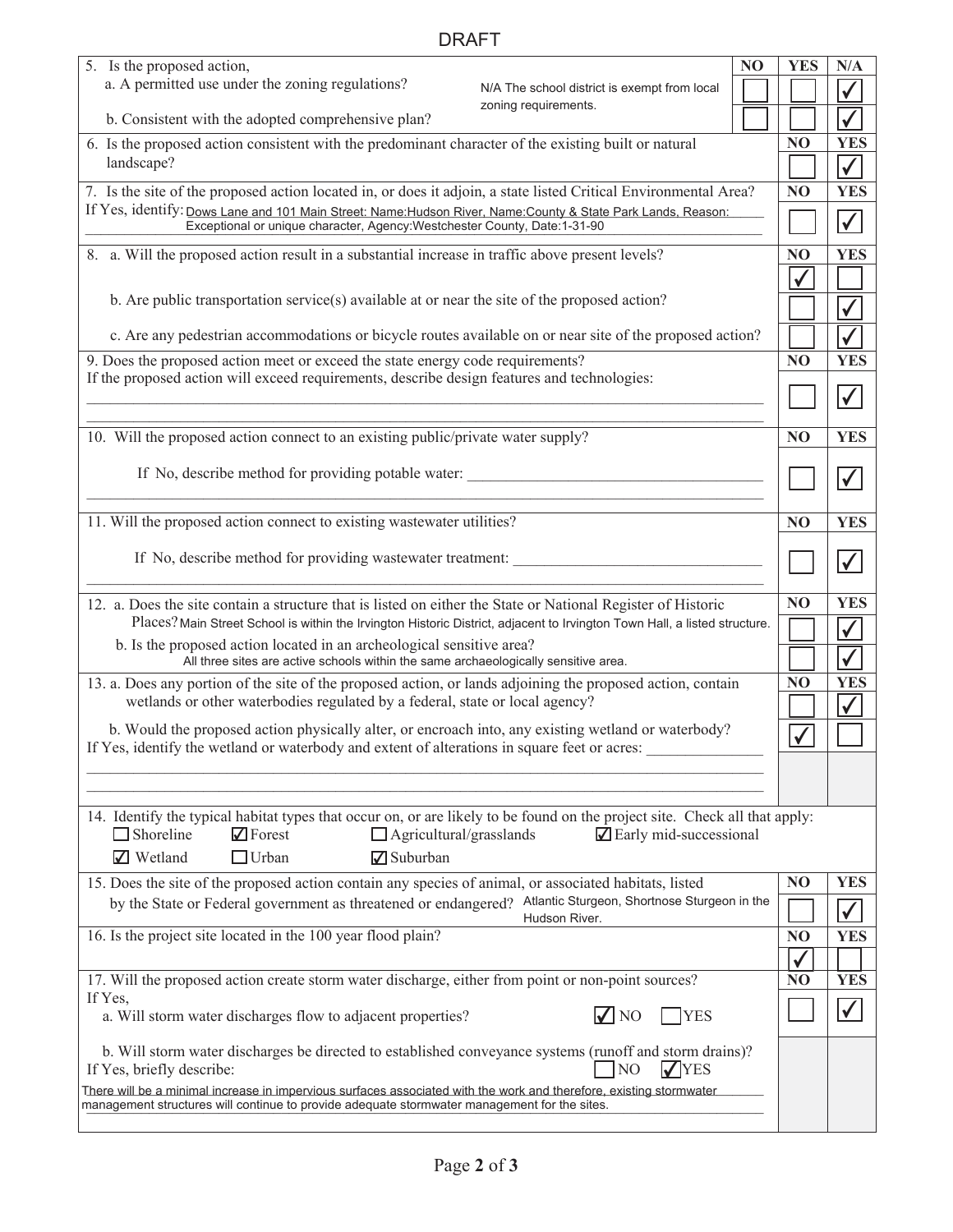## DRAFT

| 5. Is the proposed action,<br>a. A permitted use under the zoning regulations?<br>N/A The school district is exempt from local                                                                                                                           | N <sub>O</sub> | <b>YES</b>     | N/A                          |
|----------------------------------------------------------------------------------------------------------------------------------------------------------------------------------------------------------------------------------------------------------|----------------|----------------|------------------------------|
| zoning requirements.<br>b. Consistent with the adopted comprehensive plan?                                                                                                                                                                               |                |                | $\checkmark$<br>$\checkmark$ |
|                                                                                                                                                                                                                                                          |                |                |                              |
| 6. Is the proposed action consistent with the predominant character of the existing built or natural<br>landscape?                                                                                                                                       |                | N <sub>O</sub> | <b>YES</b>                   |
|                                                                                                                                                                                                                                                          |                |                | $\checkmark$                 |
| 7. Is the site of the proposed action located in, or does it adjoin, a state listed Critical Environmental Area?                                                                                                                                         |                | N <sub>O</sub> | <b>YES</b>                   |
| If Yes, identify: Dows Lane and 101 Main Street: Name: Hudson River, Name: County & State Park Lands, Reason:<br>Exceptional or unique character, Agency: Westchester County, Date: 1-31-90                                                              |                |                | $\checkmark$                 |
| 8. a. Will the proposed action result in a substantial increase in traffic above present levels?                                                                                                                                                         |                | NO             | <b>YES</b>                   |
| b. Are public transportation service(s) available at or near the site of the proposed action?                                                                                                                                                            |                |                | $\checkmark$                 |
| c. Are any pedestrian accommodations or bicycle routes available on or near site of the proposed action?                                                                                                                                                 |                |                |                              |
|                                                                                                                                                                                                                                                          |                |                |                              |
| 9. Does the proposed action meet or exceed the state energy code requirements?<br>If the proposed action will exceed requirements, describe design features and technologies:                                                                            |                | N <sub>O</sub> | <b>YES</b>                   |
|                                                                                                                                                                                                                                                          |                |                | $\checkmark$                 |
| 10. Will the proposed action connect to an existing public/private water supply?                                                                                                                                                                         |                | N <sub>O</sub> | <b>YES</b>                   |
| If No, describe method for providing potable water:                                                                                                                                                                                                      |                |                |                              |
|                                                                                                                                                                                                                                                          |                |                | $\checkmark$                 |
| 11. Will the proposed action connect to existing wastewater utilities?                                                                                                                                                                                   |                | N <sub>O</sub> | <b>YES</b>                   |
|                                                                                                                                                                                                                                                          |                |                |                              |
| If No, describe method for providing was tewater treatment:                                                                                                                                                                                              |                |                | $\checkmark$                 |
| 12. a. Does the site contain a structure that is listed on either the State or National Register of Historic                                                                                                                                             |                | N <sub>O</sub> | <b>YES</b>                   |
| Places? Main Street School is within the Irvington Historic District, adjacent to Irvington Town Hall, a listed structure.                                                                                                                               |                |                | $\checkmark$                 |
| b. Is the proposed action located in an archeological sensitive area?<br>All three sites are active schools within the same archaeologically sensitive area.                                                                                             |                |                | $\checkmark$                 |
| 13. a. Does any portion of the site of the proposed action, or lands adjoining the proposed action, contain                                                                                                                                              |                | N <sub>O</sub> | <b>YES</b>                   |
| wetlands or other waterbodies regulated by a federal, state or local agency?                                                                                                                                                                             |                |                | $\checkmark$                 |
| b. Would the proposed action physically alter, or encroach into, any existing wetland or waterbody?                                                                                                                                                      |                |                |                              |
| If Yes, identify the wetland or waterbody and extent of alterations in square feet or acres:                                                                                                                                                             |                |                |                              |
|                                                                                                                                                                                                                                                          |                |                |                              |
|                                                                                                                                                                                                                                                          |                |                |                              |
| 14. Identify the typical habitat types that occur on, or are likely to be found on the project site. Check all that apply:<br>$\Box$ Shoreline<br>$\sqrt{\phantom{a}}$ Forest<br>$\Box$ Agricultural/grasslands<br>$\blacksquare$ Early mid-successional |                |                |                              |
| <b>√</b> Wetland<br>$\Box$ Urban<br><b>○</b> Suburban                                                                                                                                                                                                    |                |                |                              |
| 15. Does the site of the proposed action contain any species of animal, or associated habitats, listed                                                                                                                                                   |                | N <sub>O</sub> | <b>YES</b>                   |
| by the State or Federal government as threatened or endangered? Atlantic Sturgeon, Shortnose Sturgeon in the                                                                                                                                             |                |                |                              |
| Hudson River.<br>16. Is the project site located in the 100 year flood plain?                                                                                                                                                                            |                | N <sub>O</sub> | $\checkmark$<br><b>YES</b>   |
|                                                                                                                                                                                                                                                          |                |                |                              |
| 17. Will the proposed action create storm water discharge, either from point or non-point sources?                                                                                                                                                       |                | N <sub>O</sub> | <b>YES</b>                   |
| If Yes,                                                                                                                                                                                                                                                  |                |                |                              |
| $\sqrt{\ }$ NO<br><b>YES</b><br>a. Will storm water discharges flow to adjacent properties?                                                                                                                                                              |                |                | $\checkmark$                 |
| b. Will storm water discharges be directed to established conveyance systems (runoff and storm drains)?                                                                                                                                                  |                |                |                              |
| NO <sub>1</sub><br>If Yes, briefly describe:<br>$\sqrt{\text{YES}}$                                                                                                                                                                                      |                |                |                              |
| There will be a minimal increase in impervious surfaces associated with the work and therefore, existing stormwater<br>management structures will continue to provide adequate stormwater management for the sites.                                      |                |                |                              |
|                                                                                                                                                                                                                                                          |                |                |                              |

 $\overline{\phantom{a}}$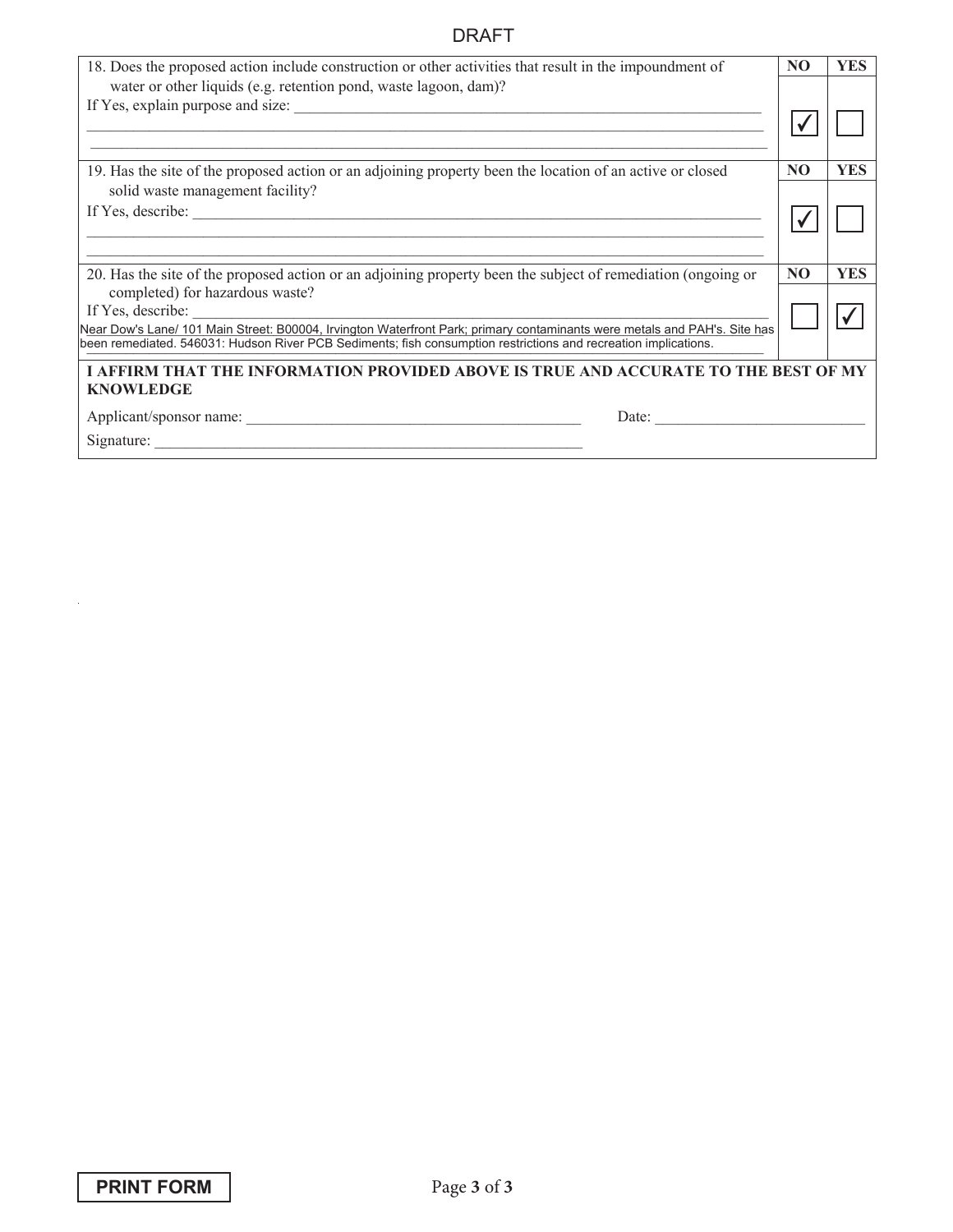## DRAFT

| 18. Does the proposed action include construction or other activities that result in the impoundment of<br>water or other liquids (e.g. retention pond, waste lagoon, dam)?                                                                                       | NO. | <b>YES</b> |
|-------------------------------------------------------------------------------------------------------------------------------------------------------------------------------------------------------------------------------------------------------------------|-----|------------|
|                                                                                                                                                                                                                                                                   |     |            |
| 19. Has the site of the proposed action or an adjoining property been the location of an active or closed<br>solid waste management facility?                                                                                                                     | NO. | <b>YES</b> |
|                                                                                                                                                                                                                                                                   |     |            |
| 20. Has the site of the proposed action or an adjoining property been the subject of remediation (ongoing or<br>completed) for hazardous waste?                                                                                                                   | NO  | <b>YES</b> |
| If Yes, describe:<br>Near Dow's Lane/ 101 Main Street: B00004, Irvington Waterfront Park; primary contaminants were metals and PAH's. Site has<br>been remediated. 546031: Hudson River PCB Sediments; fish consumption restrictions and recreation implications. |     |            |
| I AFFIRM THAT THE INFORMATION PROVIDED ABOVE IS TRUE AND ACCURATE TO THE BEST OF MY<br><b>KNOWLEDGE</b>                                                                                                                                                           |     |            |
| Date:                                                                                                                                                                                                                                                             |     |            |

 $\mathcal{A}$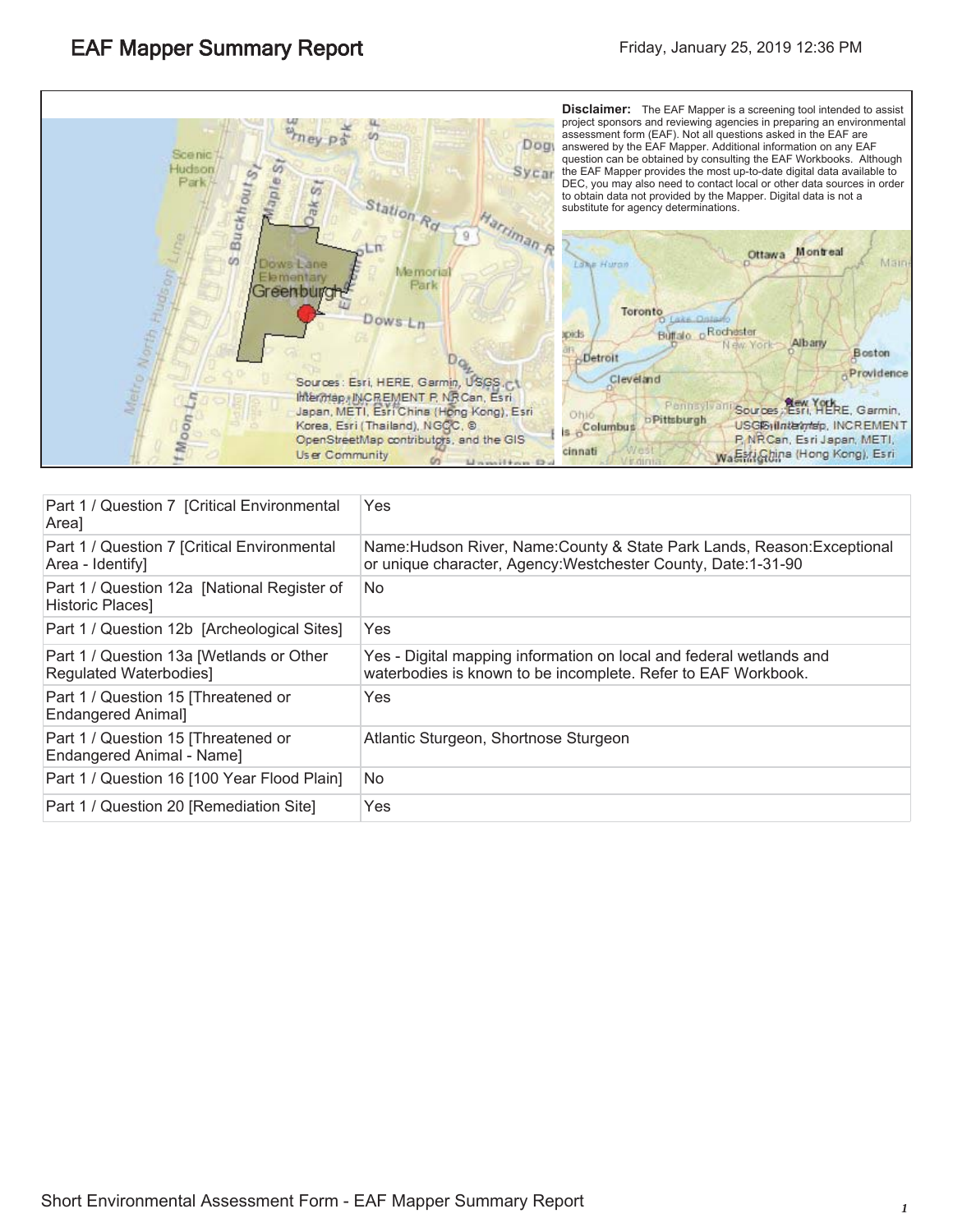

| Part 1 / Question 7 [Critical Environmental<br>Area]              | Yes                                                                                                                                        |
|-------------------------------------------------------------------|--------------------------------------------------------------------------------------------------------------------------------------------|
| Part 1 / Question 7 [Critical Environmental<br>Area - Identify]   | Name: Hudson River, Name: County & State Park Lands, Reason: Exceptional<br>or unique character, Agency: Westchester County, Date: 1-31-90 |
| Part 1 / Question 12a [National Register of<br>Historic Places]   | No                                                                                                                                         |
| Part 1 / Question 12b [Archeological Sites]                       | Yes                                                                                                                                        |
| Part 1 / Question 13a [Wetlands or Other<br>Regulated Waterbodies | Yes - Digital mapping information on local and federal wetlands and<br>waterbodies is known to be incomplete. Refer to EAF Workbook.       |
| Part 1 / Question 15 [Threatened or<br><b>Endangered Animal]</b>  | Yes                                                                                                                                        |
| Part 1 / Question 15 [Threatened or<br>Endangered Animal - Name]  | Atlantic Sturgeon, Shortnose Sturgeon                                                                                                      |
| Part 1 / Question 16 [100 Year Flood Plain]                       | No                                                                                                                                         |
| Part 1 / Question 20 [Remediation Site]                           | Yes                                                                                                                                        |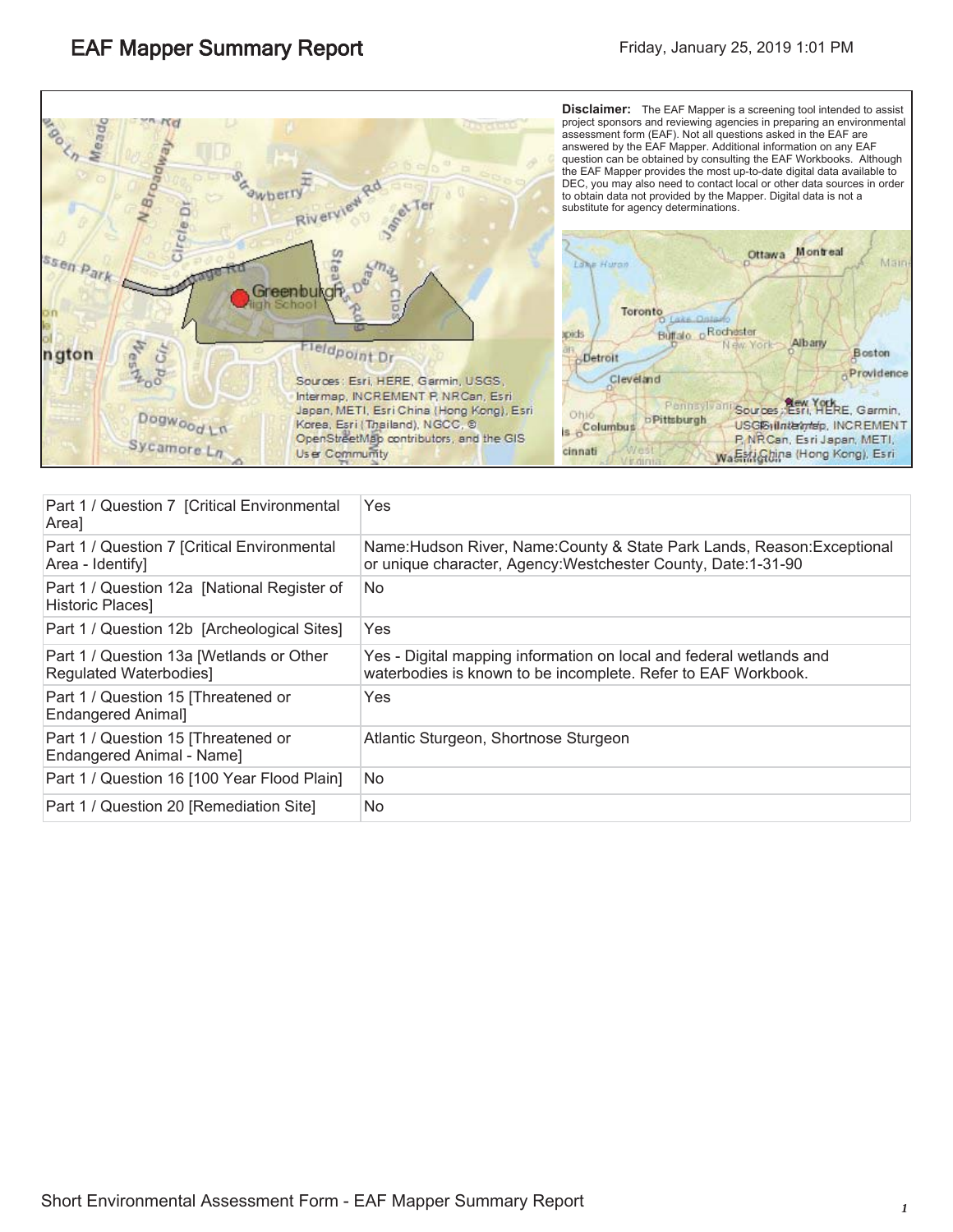

| Part 1 / Question 7 [Critical Environmental<br>Areal               | Yes.                                                                                                                                       |
|--------------------------------------------------------------------|--------------------------------------------------------------------------------------------------------------------------------------------|
| Part 1 / Question 7 [Critical Environmental<br>Area - Identify]    | Name: Hudson River, Name: County & State Park Lands, Reason: Exceptional<br>or unique character, Agency: Westchester County, Date: 1-31-90 |
| Part 1 / Question 12a [National Register of<br>Historic Places]    | No                                                                                                                                         |
| Part 1 / Question 12b [Archeological Sites]                        | <b>Yes</b>                                                                                                                                 |
| Part 1 / Question 13a [Wetlands or Other<br>Regulated Waterbodies] | Yes - Digital mapping information on local and federal wetlands and<br>waterbodies is known to be incomplete. Refer to EAF Workbook.       |
| Part 1 / Question 15 [Threatened or<br><b>Endangered Animal]</b>   | Yes                                                                                                                                        |
| Part 1 / Question 15 [Threatened or<br>Endangered Animal - Name]   | Atlantic Sturgeon, Shortnose Sturgeon                                                                                                      |
| Part 1 / Question 16 [100 Year Flood Plain]                        | No                                                                                                                                         |
| Part 1 / Question 20 [Remediation Site]                            | No                                                                                                                                         |
|                                                                    |                                                                                                                                            |